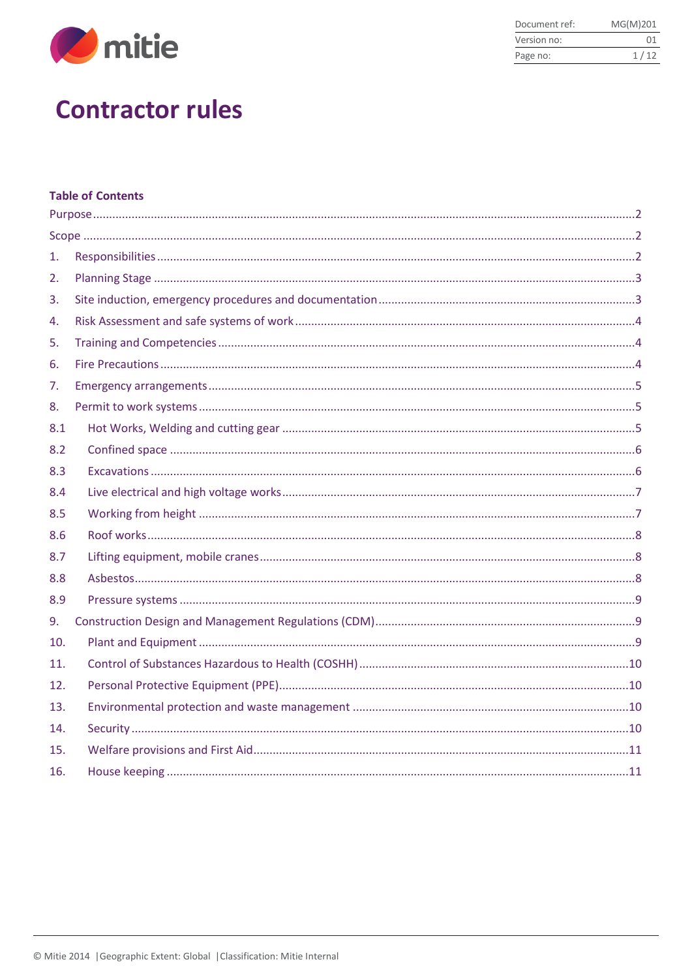

| Document ref: | MG(M)201 |
|---------------|----------|
| Version no:   | 01       |
| Page no:      | 1/12     |

# **Contractor rules**

# **Table of Contents**

| 1.  |  |
|-----|--|
| 2.  |  |
| 3.  |  |
| 4.  |  |
| 5.  |  |
| 6.  |  |
| 7.  |  |
| 8.  |  |
| 8.1 |  |
| 8.2 |  |
| 8.3 |  |
| 8.4 |  |
| 8.5 |  |
| 8.6 |  |
| 8.7 |  |
| 8.8 |  |
| 8.9 |  |
| 9.  |  |
| 10. |  |
| 11. |  |
| 12. |  |
| 13. |  |
| 14. |  |
| 15. |  |
| 16. |  |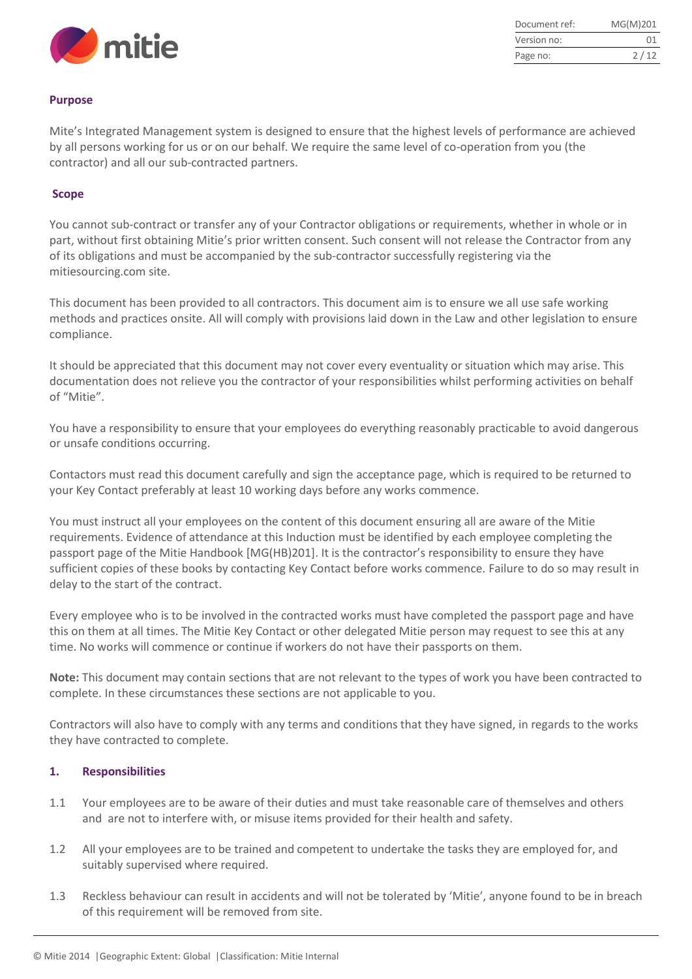

| Document ref: | MG(M)201 |
|---------------|----------|
| Version no:   | 01       |
| Page no:      | 2/12     |

#### <span id="page-1-0"></span>**Purpose**

Mite's Integrated Management system is designed to ensure that the highest levels of performance are achieved by all persons working for us or on our behalf. We require the same level of co-operation from you (the contractor) and all our sub-contracted partners.

#### <span id="page-1-1"></span>**Scope**

You cannot sub-contract or transfer any of your Contractor obligations or requirements, whether in whole or in part, without first obtaining Mitie's prior written consent. Such consent will not release the Contractor from any of its obligations and must be accompanied by the sub-contractor successfully registering via the mitiesourcing.com site.

This document has been provided to all contractors. This document aim is to ensure we all use safe working methods and practices onsite. All will comply with provisions laid down in the Law and other legislation to ensure compliance.

It should be appreciated that this document may not cover every eventuality or situation which may arise. This documentation does not relieve you the contractor of your responsibilities whilst performing activities on behalf of "Mitie".

You have a responsibility to ensure that your employees do everything reasonably practicable to avoid dangerous or unsafe conditions occurring.

Contactors must read this document carefully and sign the acceptance page, which is required to be returned to your Key Contact preferably at least 10 working days before any works commence.

You must instruct all your employees on the content of this document ensuring all are aware of the Mitie requirements. Evidence of attendance at this Induction must be identified by each employee completing the passport page of the Mitie Handbook [MG(HB)201]. It is the contractor's responsibility to ensure they have sufficient copies of these books by contacting Key Contact before works commence. Failure to do so may result in delay to the start of the contract.

Every employee who is to be involved in the contracted works must have completed the passport page and have this on them at all times. The Mitie Key Contact or other delegated Mitie person may request to see this at any time. No works will commence or continue if workers do not have their passports on them.

**Note:** This document may contain sections that are not relevant to the types of work you have been contracted to complete. In these circumstances these sections are not applicable to you.

Contractors will also have to comply with any terms and conditions that they have signed, in regards to the works they have contracted to complete.

#### <span id="page-1-2"></span>**1. Responsibilities**

- 1.1 Your employees are to be aware of their duties and must take reasonable care of themselves and others and are not to interfere with, or misuse items provided for their health and safety.
- 1.2 All your employees are to be trained and competent to undertake the tasks they are employed for, and suitably supervised where required.
- 1.3 Reckless behaviour can result in accidents and will not be tolerated by 'Mitie', anyone found to be in breach of this requirement will be removed from site.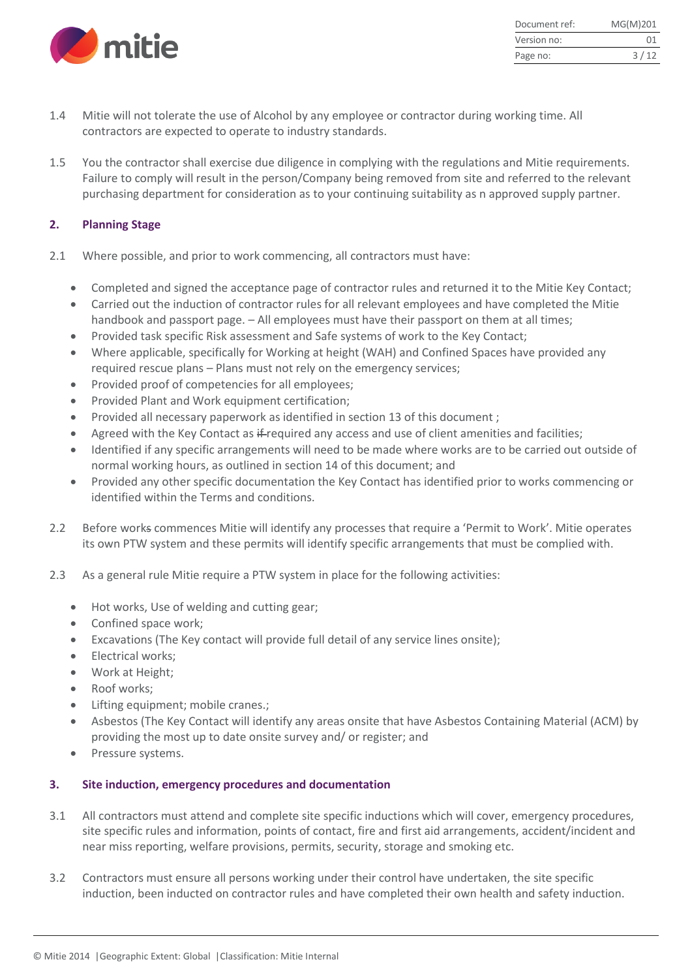

| Document ref: | MG(M)201 |
|---------------|----------|
| Version no:   | 01       |
| Page no:      | 3/12     |

- 1.4 Mitie will not tolerate the use of Alcohol by any employee or contractor during working time. All contractors are expected to operate to industry standards.
- 1.5 You the contractor shall exercise due diligence in complying with the regulations and Mitie requirements. Failure to comply will result in the person/Company being removed from site and referred to the relevant purchasing department for consideration as to your continuing suitability as n approved supply partner.

# <span id="page-2-0"></span>**2. Planning Stage**

- 2.1 Where possible, and prior to work commencing, all contractors must have:
	- Completed and signed the acceptance page of contractor rules and returned it to the Mitie Key Contact;
	- Carried out the induction of contractor rules for all relevant employees and have completed the Mitie handbook and passport page. – All employees must have their passport on them at all times;
	- Provided task specific Risk assessment and Safe systems of work to the Key Contact;
	- Where applicable, specifically for Working at height (WAH) and Confined Spaces have provided any required rescue plans – Plans must not rely on the emergency services;
	- Provided proof of competencies for all employees;
	- Provided Plant and Work equipment certification;
	- Provided all necessary paperwork as identified in section 13 of this document ;
	- Agreed with the Key Contact as if-required any access and use of client amenities and facilities;
	- Identified if any specific arrangements will need to be made where works are to be carried out outside of normal working hours, as outlined in section 14 of this document; and
	- Provided any other specific documentation the Key Contact has identified prior to works commencing or identified within the Terms and conditions.
- 2.2 Before works commences Mitie will identify any processes that require a 'Permit to Work'. Mitie operates its own PTW system and these permits will identify specific arrangements that must be complied with.
- 2.3 As a general rule Mitie require a PTW system in place for the following activities:
	- Hot works, Use of welding and cutting gear;
	- Confined space work;
	- Excavations (The Key contact will provide full detail of any service lines onsite);
	- Electrical works:
	- Work at Height;
	- Roof works;
	- Lifting equipment; mobile cranes.;
	- Asbestos (The Key Contact will identify any areas onsite that have Asbestos Containing Material (ACM) by providing the most up to date onsite survey and/ or register; and
	- Pressure systems.

# <span id="page-2-1"></span>**3. Site induction, emergency procedures and documentation**

- 3.1 All contractors must attend and complete site specific inductions which will cover, emergency procedures, site specific rules and information, points of contact, fire and first aid arrangements, accident/incident and near miss reporting, welfare provisions, permits, security, storage and smoking etc.
- 3.2 Contractors must ensure all persons working under their control have undertaken, the site specific induction, been inducted on contractor rules and have completed their own health and safety induction.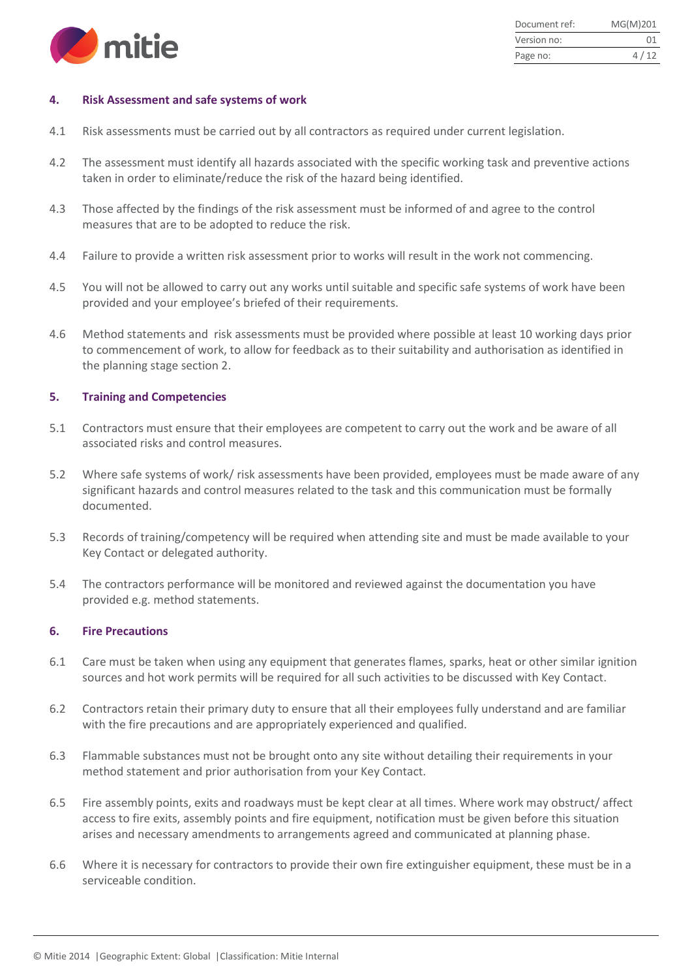

| Document ref: | MG(M)201 |
|---------------|----------|
| Version no:   | 01       |
| Page no:      | 4/12     |

#### <span id="page-3-0"></span>**4. Risk Assessment and safe systems of work**

- 4.1 Risk assessments must be carried out by all contractors as required under current legislation.
- 4.2 The assessment must identify all hazards associated with the specific working task and preventive actions taken in order to eliminate/reduce the risk of the hazard being identified.
- 4.3 Those affected by the findings of the risk assessment must be informed of and agree to the control measures that are to be adopted to reduce the risk.
- 4.4 Failure to provide a written risk assessment prior to works will result in the work not commencing.
- 4.5 You will not be allowed to carry out any works until suitable and specific safe systems of work have been provided and your employee's briefed of their requirements.
- 4.6 Method statements and risk assessments must be provided where possible at least 10 working days prior to commencement of work, to allow for feedback as to their suitability and authorisation as identified in the planning stage section 2.

#### <span id="page-3-1"></span>**5. Training and Competencies**

- 5.1 Contractors must ensure that their employees are competent to carry out the work and be aware of all associated risks and control measures.
- 5.2 Where safe systems of work/ risk assessments have been provided, employees must be made aware of any significant hazards and control measures related to the task and this communication must be formally documented.
- 5.3 Records of training/competency will be required when attending site and must be made available to your Key Contact or delegated authority.
- 5.4 The contractors performance will be monitored and reviewed against the documentation you have provided e.g. method statements.

#### <span id="page-3-2"></span>**6. Fire Precautions**

- 6.1 Care must be taken when using any equipment that generates flames, sparks, heat or other similar ignition sources and hot work permits will be required for all such activities to be discussed with Key Contact.
- 6.2 Contractors retain their primary duty to ensure that all their employees fully understand and are familiar with the fire precautions and are appropriately experienced and qualified.
- 6.3 Flammable substances must not be brought onto any site without detailing their requirements in your method statement and prior authorisation from your Key Contact.
- 6.5 Fire assembly points, exits and roadways must be kept clear at all times. Where work may obstruct/ affect access to fire exits, assembly points and fire equipment, notification must be given before this situation arises and necessary amendments to arrangements agreed and communicated at planning phase.
- 6.6 Where it is necessary for contractors to provide their own fire extinguisher equipment, these must be in a serviceable condition.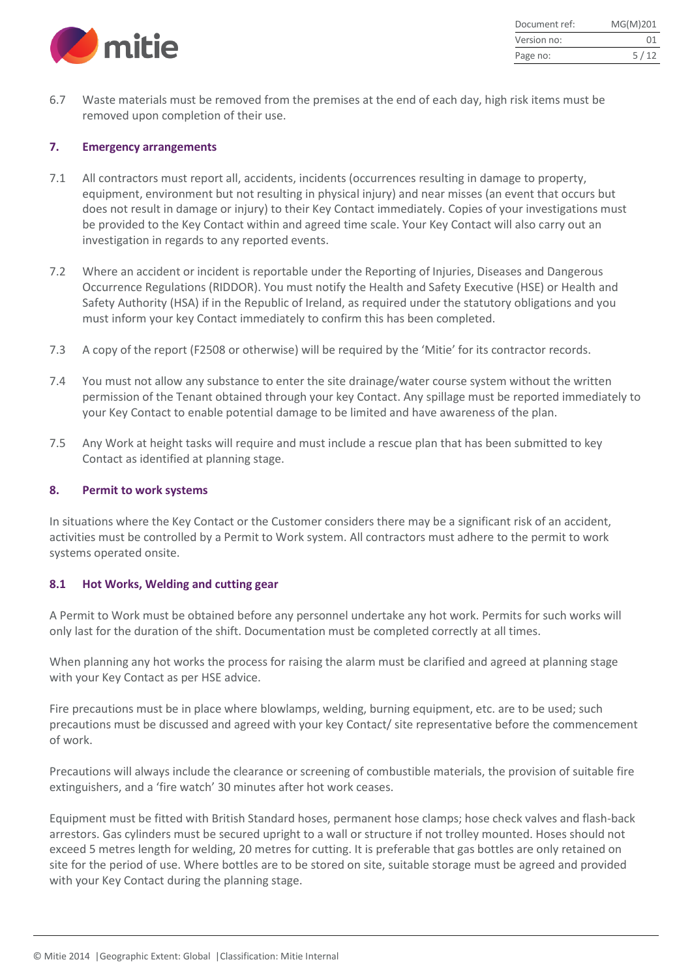

| Document ref: | MG(M)201 |
|---------------|----------|
| Version no:   | 01       |
| Page no:      | 5/12     |

6.7 Waste materials must be removed from the premises at the end of each day, high risk items must be removed upon completion of their use.

#### <span id="page-4-0"></span>**7. Emergency arrangements**

- 7.1 All contractors must report all, accidents, incidents (occurrences resulting in damage to property, equipment, environment but not resulting in physical injury) and near misses (an event that occurs but does not result in damage or injury) to their Key Contact immediately. Copies of your investigations must be provided to the Key Contact within and agreed time scale. Your Key Contact will also carry out an investigation in regards to any reported events.
- 7.2 Where an accident or incident is reportable under the Reporting of Injuries, Diseases and Dangerous Occurrence Regulations (RIDDOR). You must notify the Health and Safety Executive (HSE) or Health and Safety Authority (HSA) if in the Republic of Ireland, as required under the statutory obligations and you must inform your key Contact immediately to confirm this has been completed.
- 7.3 A copy of the report (F2508 or otherwise) will be required by the 'Mitie' for its contractor records.
- 7.4 You must not allow any substance to enter the site drainage/water course system without the written permission of the Tenant obtained through your key Contact. Any spillage must be reported immediately to your Key Contact to enable potential damage to be limited and have awareness of the plan.
- 7.5 Any Work at height tasks will require and must include a rescue plan that has been submitted to key Contact as identified at planning stage.

#### <span id="page-4-1"></span>**8. Permit to work systems**

In situations where the Key Contact or the Customer considers there may be a significant risk of an accident, activities must be controlled by a Permit to Work system. All contractors must adhere to the permit to work systems operated onsite.

#### <span id="page-4-2"></span>**8.1 Hot Works, Welding and cutting gear**

A Permit to Work must be obtained before any personnel undertake any hot work. Permits for such works will only last for the duration of the shift. Documentation must be completed correctly at all times.

When planning any hot works the process for raising the alarm must be clarified and agreed at planning stage with your Key Contact as per HSE advice.

Fire precautions must be in place where blowlamps, welding, burning equipment, etc. are to be used; such precautions must be discussed and agreed with your key Contact/ site representative before the commencement of work.

Precautions will always include the clearance or screening of combustible materials, the provision of suitable fire extinguishers, and a 'fire watch' 30 minutes after hot work ceases.

Equipment must be fitted with British Standard hoses, permanent hose clamps; hose check valves and flash-back arrestors. Gas cylinders must be secured upright to a wall or structure if not trolley mounted. Hoses should not exceed 5 metres length for welding, 20 metres for cutting. It is preferable that gas bottles are only retained on site for the period of use. Where bottles are to be stored on site, suitable storage must be agreed and provided with your Key Contact during the planning stage.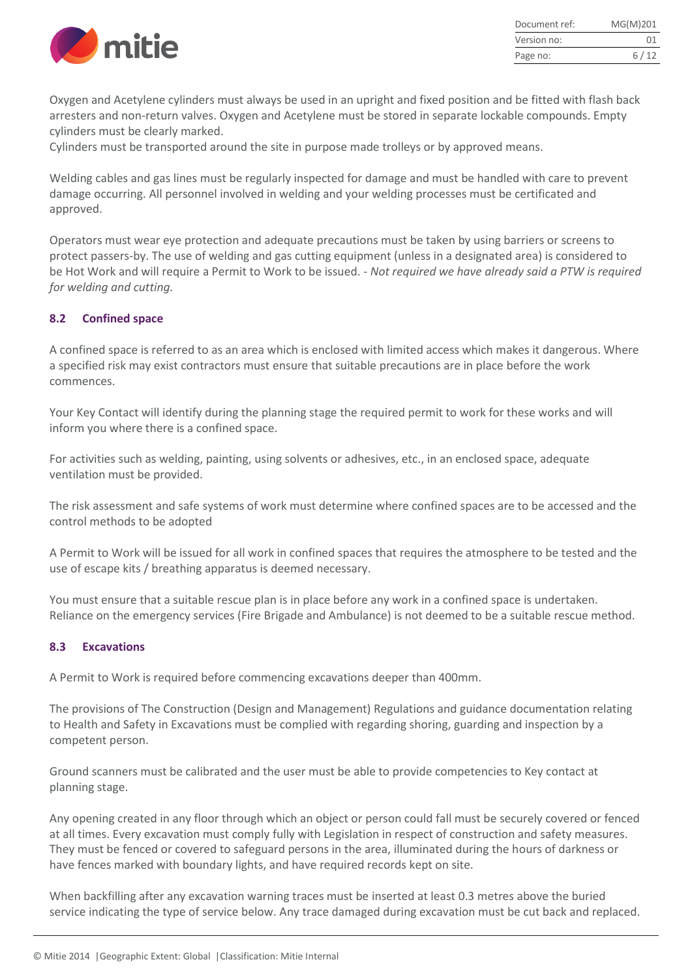

| Document ref: | MG(M)201 |
|---------------|----------|
| Version no:   | 01       |
| Page no:      | 6/12     |

Oxygen and Acetylene cylinders must always be used in an upright and fixed position and be fitted with flash back arresters and non-return valves. Oxygen and Acetylene must be stored in separate lockable compounds. Empty cylinders must be clearly marked.

Cylinders must be transported around the site in purpose made trolleys or by approved means.

Welding cables and gas lines must be regularly inspected for damage and must be handled with care to prevent damage occurring. All personnel involved in welding and your welding processes must be certificated and approved.

Operators must wear eye protection and adequate precautions must be taken by using barriers or screens to protect passers-by. The use of welding and gas cutting equipment (unless in a designated area) is considered to be Hot Work and will require a Permit to Work to be issued. - *Not required we have already said a PTW is required for welding and cutting.*

# <span id="page-5-0"></span>**8.2 Confined space**

A confined space is referred to as an area which is enclosed with limited access which makes it dangerous. Where a specified risk may exist contractors must ensure that suitable precautions are in place before the work commences.

Your Key Contact will identify during the planning stage the required permit to work for these works and will inform you where there is a confined space.

For activities such as welding, painting, using solvents or adhesives, etc., in an enclosed space, adequate ventilation must be provided.

The risk assessment and safe systems of work must determine where confined spaces are to be accessed and the control methods to be adopted

A Permit to Work will be issued for all work in confined spaces that requires the atmosphere to be tested and the use of escape kits / breathing apparatus is deemed necessary.

You must ensure that a suitable rescue plan is in place before any work in a confined space is undertaken. Reliance on the emergency services (Fire Brigade and Ambulance) is not deemed to be a suitable rescue method.

# <span id="page-5-1"></span>**8.3 Excavations**

A Permit to Work is required before commencing excavations deeper than 400mm.

The provisions of The Construction (Design and Management) Regulations and guidance documentation relating to Health and Safety in Excavations must be complied with regarding shoring, guarding and inspection by a competent person.

Ground scanners must be calibrated and the user must be able to provide competencies to Key contact at planning stage.

Any opening created in any floor through which an object or person could fall must be securely covered or fenced at all times. Every excavation must comply fully with Legislation in respect of construction and safety measures. They must be fenced or covered to safeguard persons in the area, illuminated during the hours of darkness or have fences marked with boundary lights, and have required records kept on site.

When backfilling after any excavation warning traces must be inserted at least 0.3 metres above the buried service indicating the type of service below. Any trace damaged during excavation must be cut back and replaced.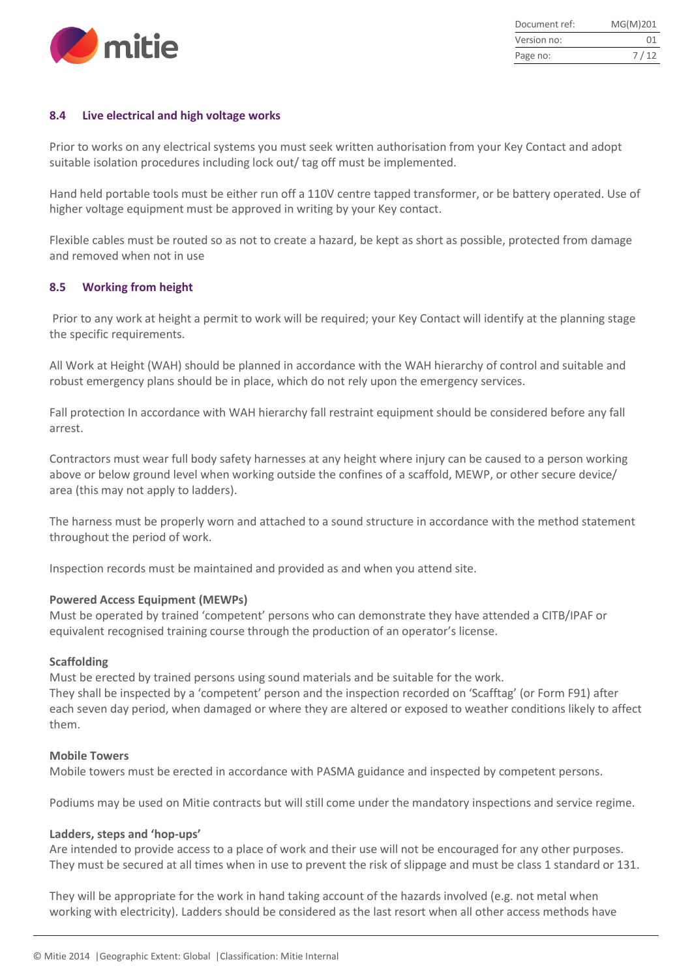

| Document ref: | MG(M)201 |
|---------------|----------|
| Version no:   | 01       |
| Page no:      | 7/12     |

# <span id="page-6-0"></span>**8.4 Live electrical and high voltage works**

Prior to works on any electrical systems you must seek written authorisation from your Key Contact and adopt suitable isolation procedures including lock out/ tag off must be implemented.

Hand held portable tools must be either run off a 110V centre tapped transformer, or be battery operated. Use of higher voltage equipment must be approved in writing by your Key contact.

Flexible cables must be routed so as not to create a hazard, be kept as short as possible, protected from damage and removed when not in use

#### <span id="page-6-1"></span>**8.5 Working from height**

Prior to any work at height a permit to work will be required; your Key Contact will identify at the planning stage the specific requirements.

All Work at Height (WAH) should be planned in accordance with the WAH hierarchy of control and suitable and robust emergency plans should be in place, which do not rely upon the emergency services.

Fall protection In accordance with WAH hierarchy fall restraint equipment should be considered before any fall arrest.

Contractors must wear full body safety harnesses at any height where injury can be caused to a person working above or below ground level when working outside the confines of a scaffold, MEWP, or other secure device/ area (this may not apply to ladders).

The harness must be properly worn and attached to a sound structure in accordance with the method statement throughout the period of work.

Inspection records must be maintained and provided as and when you attend site.

#### **Powered Access Equipment (MEWPs)**

Must be operated by trained 'competent' persons who can demonstrate they have attended a CITB/IPAF or equivalent recognised training course through the production of an operator's license.

#### **Scaffolding**

Must be erected by trained persons using sound materials and be suitable for the work.

They shall be inspected by a 'competent' person and the inspection recorded on 'Scafftag' (or Form F91) after each seven day period, when damaged or where they are altered or exposed to weather conditions likely to affect them.

#### **Mobile Towers**

Mobile towers must be erected in accordance with PASMA guidance and inspected by competent persons.

Podiums may be used on Mitie contracts but will still come under the mandatory inspections and service regime.

#### **Ladders, steps and 'hop-ups'**

Are intended to provide access to a place of work and their use will not be encouraged for any other purposes. They must be secured at all times when in use to prevent the risk of slippage and must be class 1 standard or 131.

They will be appropriate for the work in hand taking account of the hazards involved (e.g. not metal when working with electricity). Ladders should be considered as the last resort when all other access methods have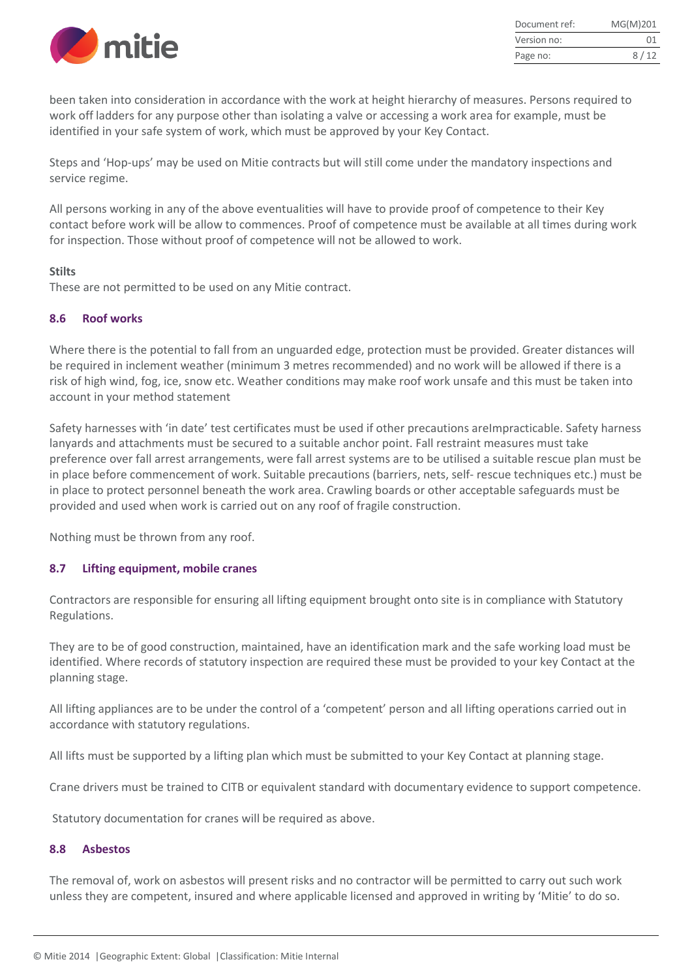

| Document ref: | MG(M)201 |
|---------------|----------|
| Version no:   | 01       |
| Page no:      | 8/12     |

been taken into consideration in accordance with the work at height hierarchy of measures. Persons required to work off ladders for any purpose other than isolating a valve or accessing a work area for example, must be identified in your safe system of work, which must be approved by your Key Contact.

Steps and 'Hop-ups' may be used on Mitie contracts but will still come under the mandatory inspections and service regime.

All persons working in any of the above eventualities will have to provide proof of competence to their Key contact before work will be allow to commences. Proof of competence must be available at all times during work for inspection. Those without proof of competence will not be allowed to work.

#### **Stilts**

These are not permitted to be used on any Mitie contract.

# <span id="page-7-0"></span>**8.6 Roof works**

Where there is the potential to fall from an unguarded edge, protection must be provided. Greater distances will be required in inclement weather (minimum 3 metres recommended) and no work will be allowed if there is a risk of high wind, fog, ice, snow etc. Weather conditions may make roof work unsafe and this must be taken into account in your method statement

Safety harnesses with 'in date' test certificates must be used if other precautions areImpracticable. Safety harness lanyards and attachments must be secured to a suitable anchor point. Fall restraint measures must take preference over fall arrest arrangements, were fall arrest systems are to be utilised a suitable rescue plan must be in place before commencement of work. Suitable precautions (barriers, nets, self- rescue techniques etc.) must be in place to protect personnel beneath the work area. Crawling boards or other acceptable safeguards must be provided and used when work is carried out on any roof of fragile construction.

Nothing must be thrown from any roof.

# <span id="page-7-1"></span>**8.7 Lifting equipment, mobile cranes**

Contractors are responsible for ensuring all lifting equipment brought onto site is in compliance with Statutory Regulations.

They are to be of good construction, maintained, have an identification mark and the safe working load must be identified. Where records of statutory inspection are required these must be provided to your key Contact at the planning stage.

All lifting appliances are to be under the control of a 'competent' person and all lifting operations carried out in accordance with statutory regulations.

All lifts must be supported by a lifting plan which must be submitted to your Key Contact at planning stage.

Crane drivers must be trained to CITB or equivalent standard with documentary evidence to support competence.

Statutory documentation for cranes will be required as above.

# <span id="page-7-2"></span>**8.8 Asbestos**

The removal of, work on asbestos will present risks and no contractor will be permitted to carry out such work unless they are competent, insured and where applicable licensed and approved in writing by 'Mitie' to do so.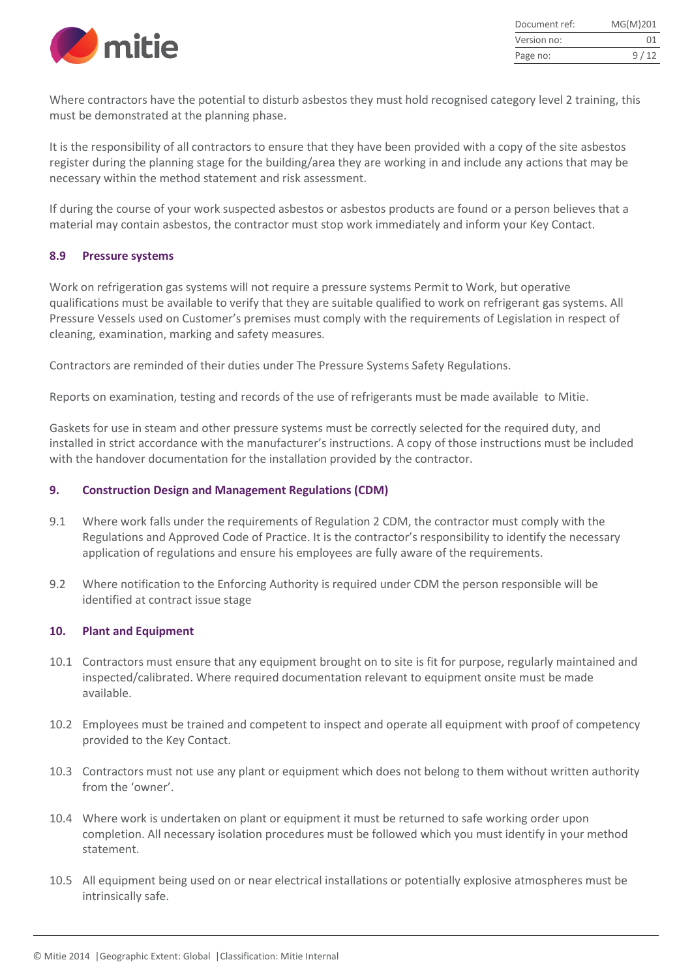

| Document ref: | MG(M)201 |
|---------------|----------|
| Version no:   | 01       |
| Page no:      | 9/12     |

Where contractors have the potential to disturb asbestos they must hold recognised category level 2 training, this must be demonstrated at the planning phase.

It is the responsibility of all contractors to ensure that they have been provided with a copy of the site asbestos register during the planning stage for the building/area they are working in and include any actions that may be necessary within the method statement and risk assessment.

If during the course of your work suspected asbestos or asbestos products are found or a person believes that a material may contain asbestos, the contractor must stop work immediately and inform your Key Contact.

#### <span id="page-8-0"></span>**8.9 Pressure systems**

Work on refrigeration gas systems will not require a pressure systems Permit to Work, but operative qualifications must be available to verify that they are suitable qualified to work on refrigerant gas systems. All Pressure Vessels used on Customer's premises must comply with the requirements of Legislation in respect of cleaning, examination, marking and safety measures.

Contractors are reminded of their duties under The Pressure Systems Safety Regulations.

Reports on examination, testing and records of the use of refrigerants must be made available to Mitie.

Gaskets for use in steam and other pressure systems must be correctly selected for the required duty, and installed in strict accordance with the manufacturer's instructions. A copy of those instructions must be included with the handover documentation for the installation provided by the contractor.

#### <span id="page-8-1"></span>**9. Construction Design and Management Regulations (CDM)**

- 9.1 Where work falls under the requirements of Regulation 2 CDM, the contractor must comply with the Regulations and Approved Code of Practice. It is the contractor's responsibility to identify the necessary application of regulations and ensure his employees are fully aware of the requirements.
- 9.2 Where notification to the Enforcing Authority is required under CDM the person responsible will be identified at contract issue stage

#### <span id="page-8-2"></span>**10. Plant and Equipment**

- 10.1 Contractors must ensure that any equipment brought on to site is fit for purpose, regularly maintained and inspected/calibrated. Where required documentation relevant to equipment onsite must be made available.
- 10.2 Employees must be trained and competent to inspect and operate all equipment with proof of competency provided to the Key Contact.
- 10.3 Contractors must not use any plant or equipment which does not belong to them without written authority from the 'owner'.
- 10.4 Where work is undertaken on plant or equipment it must be returned to safe working order upon completion. All necessary isolation procedures must be followed which you must identify in your method statement.
- 10.5 All equipment being used on or near electrical installations or potentially explosive atmospheres must be intrinsically safe.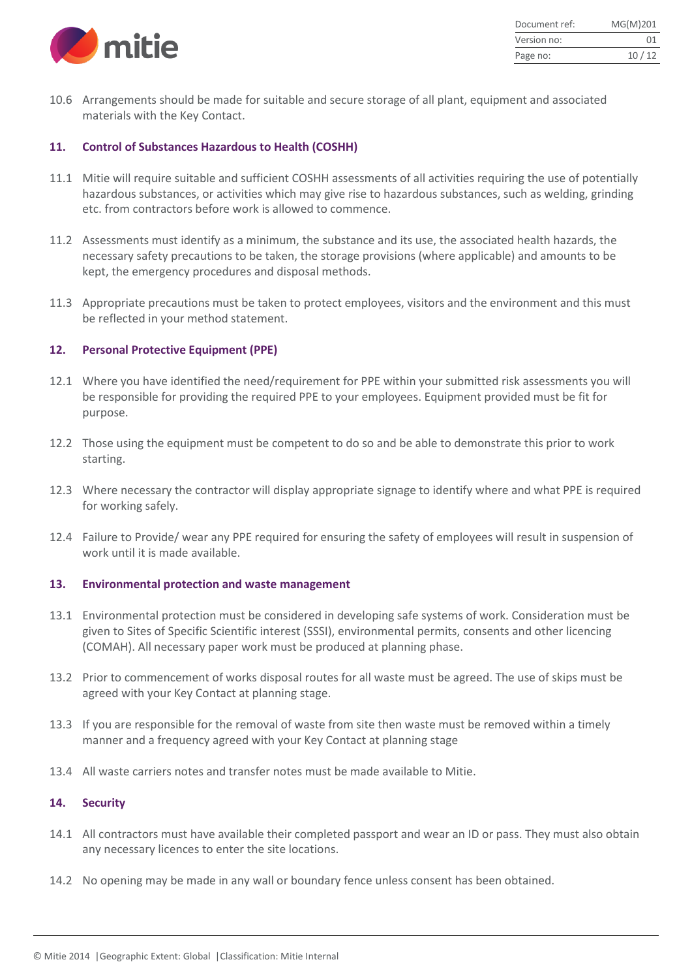

| Document ref: | MG(M)201 |
|---------------|----------|
| Version no:   | 01       |
| Page no:      | 10/12    |

10.6 Arrangements should be made for suitable and secure storage of all plant, equipment and associated materials with the Key Contact.

#### <span id="page-9-0"></span>**11. Control of Substances Hazardous to Health (COSHH)**

- 11.1 Mitie will require suitable and sufficient COSHH assessments of all activities requiring the use of potentially hazardous substances, or activities which may give rise to hazardous substances, such as welding, grinding etc. from contractors before work is allowed to commence.
- 11.2 Assessments must identify as a minimum, the substance and its use, the associated health hazards, the necessary safety precautions to be taken, the storage provisions (where applicable) and amounts to be kept, the emergency procedures and disposal methods.
- 11.3 Appropriate precautions must be taken to protect employees, visitors and the environment and this must be reflected in your method statement.

# <span id="page-9-1"></span>**12. Personal Protective Equipment (PPE)**

- 12.1 Where you have identified the need/requirement for PPE within your submitted risk assessments you will be responsible for providing the required PPE to your employees. Equipment provided must be fit for purpose.
- 12.2 Those using the equipment must be competent to do so and be able to demonstrate this prior to work starting.
- 12.3 Where necessary the contractor will display appropriate signage to identify where and what PPE is required for working safely.
- 12.4 Failure to Provide/ wear any PPE required for ensuring the safety of employees will result in suspension of work until it is made available.

# <span id="page-9-2"></span>**13. Environmental protection and waste management**

- 13.1 Environmental protection must be considered in developing safe systems of work. Consideration must be given to Sites of Specific Scientific interest (SSSI), environmental permits, consents and other licencing (COMAH). All necessary paper work must be produced at planning phase.
- 13.2 Prior to commencement of works disposal routes for all waste must be agreed. The use of skips must be agreed with your Key Contact at planning stage.
- 13.3 If you are responsible for the removal of waste from site then waste must be removed within a timely manner and a frequency agreed with your Key Contact at planning stage
- 13.4 All waste carriers notes and transfer notes must be made available to Mitie.

# <span id="page-9-3"></span>**14. Security**

- 14.1 All contractors must have available their completed passport and wear an ID or pass. They must also obtain any necessary licences to enter the site locations.
- 14.2 No opening may be made in any wall or boundary fence unless consent has been obtained.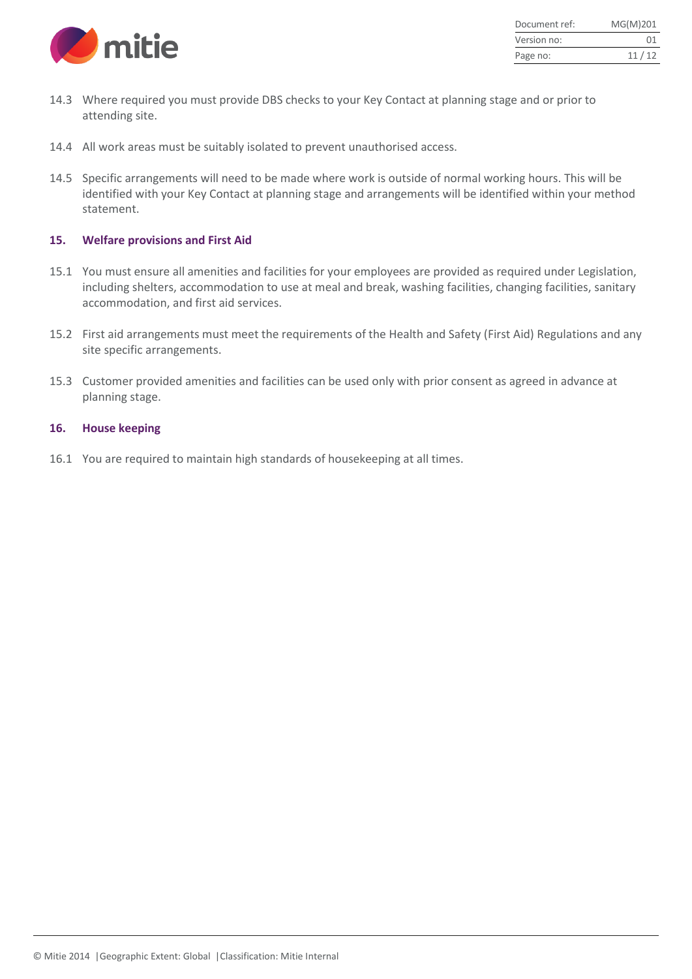

| Document ref: | MG(M)201 |
|---------------|----------|
| Version no:   | 01       |
| Page no:      | 11/12    |

- 14.3 Where required you must provide DBS checks to your Key Contact at planning stage and or prior to attending site.
- 14.4 All work areas must be suitably isolated to prevent unauthorised access.
- 14.5 Specific arrangements will need to be made where work is outside of normal working hours. This will be identified with your Key Contact at planning stage and arrangements will be identified within your method statement.

#### <span id="page-10-0"></span>**15. Welfare provisions and First Aid**

- 15.1 You must ensure all amenities and facilities for your employees are provided as required under Legislation, including shelters, accommodation to use at meal and break, washing facilities, changing facilities, sanitary accommodation, and first aid services.
- 15.2 First aid arrangements must meet the requirements of the Health and Safety (First Aid) Regulations and any site specific arrangements.
- 15.3 Customer provided amenities and facilities can be used only with prior consent as agreed in advance at planning stage.

#### <span id="page-10-1"></span>**16. House keeping**

16.1 You are required to maintain high standards of housekeeping at all times.